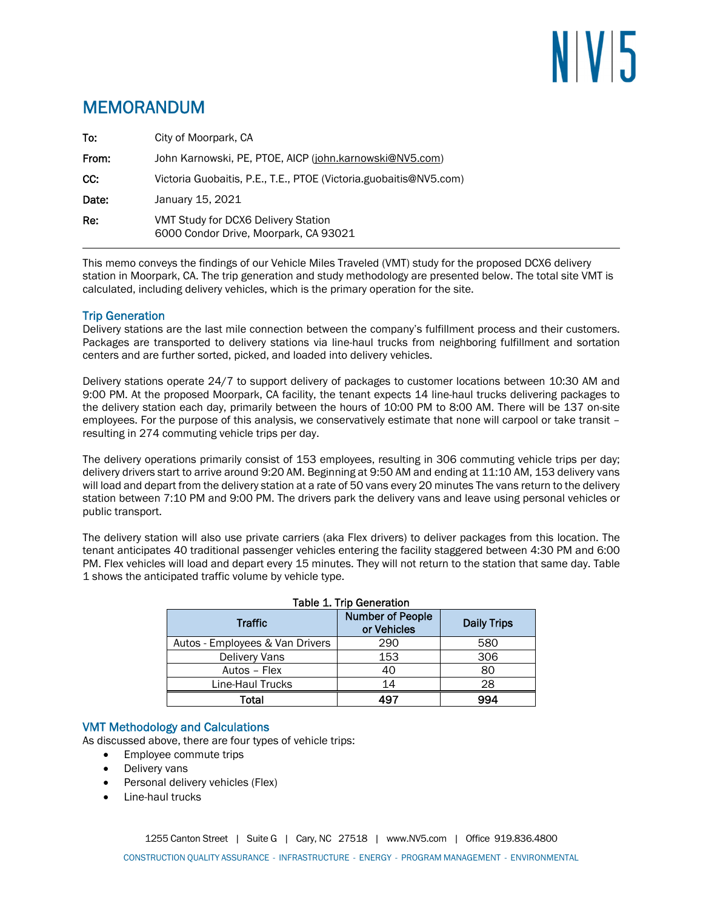# NIVI5

# MEMORANDUM

| To:   | City of Moorpark, CA                                                         |
|-------|------------------------------------------------------------------------------|
| From: | John Karnowski, PE, PTOE, AICP (john.karnowski@NV5.com)                      |
| CC:   | Victoria Guobaitis, P.E., T.E., PTOE (Victoria.guobaitis@NV5.com)            |
| Date: | January 15, 2021                                                             |
| Re:   | VMT Study for DCX6 Delivery Station<br>6000 Condor Drive, Moorpark, CA 93021 |

This memo conveys the findings of our Vehicle Miles Traveled (VMT) study for the proposed DCX6 delivery station in Moorpark, CA. The trip generation and study methodology are presented below. The total site VMT is calculated, including delivery vehicles, which is the primary operation for the site.

# Trip Generation

Delivery stations are the last mile connection between the company's fulfillment process and their customers. Packages are transported to delivery stations via line-haul trucks from neighboring fulfillment and sortation centers and are further sorted, picked, and loaded into delivery vehicles.

Delivery stations operate 24/7 to support delivery of packages to customer locations between 10:30 AM and 9:00 PM. At the proposed Moorpark, CA facility, the tenant expects 14 line-haul trucks delivering packages to the delivery station each day, primarily between the hours of 10:00 PM to 8:00 AM. There will be 137 on-site employees. For the purpose of this analysis, we conservatively estimate that none will carpool or take transit – resulting in 274 commuting vehicle trips per day.

The delivery operations primarily consist of 153 employees, resulting in 306 commuting vehicle trips per day; delivery drivers start to arrive around 9:20 AM. Beginning at 9:50 AM and ending at 11:10 AM, 153 delivery vans will load and depart from the delivery station at a rate of 50 vans every 20 minutes The vans return to the delivery station between 7:10 PM and 9:00 PM. The drivers park the delivery vans and leave using personal vehicles or public transport.

The delivery station will also use private carriers (aka Flex drivers) to deliver packages from this location. The tenant anticipates 40 traditional passenger vehicles entering the facility staggered between 4:30 PM and 6:00 PM. Flex vehicles will load and depart every 15 minutes. They will not return to the station that same day. Table 1 shows the anticipated traffic volume by vehicle type.

| <b>Traffic</b>                  | <b>Number of People</b><br>or Vehicles | <b>Daily Trips</b> |  |  |
|---------------------------------|----------------------------------------|--------------------|--|--|
| Autos - Employees & Van Drivers | 290                                    | 580                |  |  |
| <b>Delivery Vans</b>            | 153                                    | 306                |  |  |
| Autos - Flex                    | 40                                     | 80                 |  |  |
| Line-Haul Trucks                | 14                                     | 28                 |  |  |
| Total                           | 497                                    | 994                |  |  |

# Table 1. Trip Generation

### VMT Methodology and Calculations

As discussed above, there are four types of vehicle trips:

- Employee commute trips
- Delivery vans
- Personal delivery vehicles (Flex)
- Line-haul trucks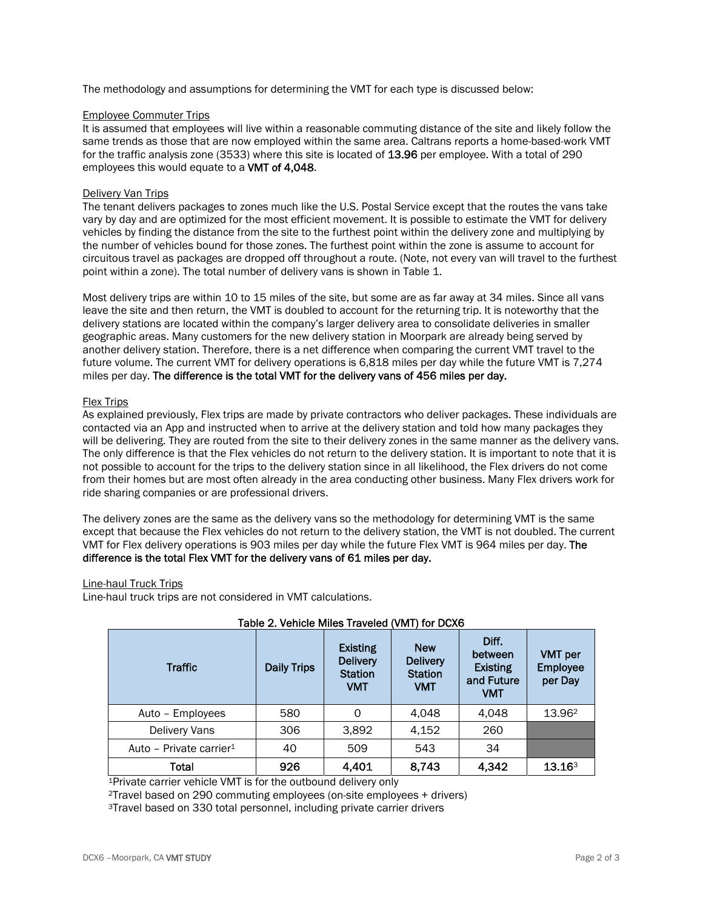The methodology and assumptions for determining the VMT for each type is discussed below:

#### Employee Commuter Trips

It is assumed that employees will live within a reasonable commuting distance of the site and likely follow the same trends as those that are now employed within the same area. Caltrans reports a home-based-work VMT for the traffic analysis zone (3533) where this site is located of 13.96 per employee. With a total of 290 employees this would equate to a VMT of 4,048.

#### Delivery Van Trips

The tenant delivers packages to zones much like the U.S. Postal Service except that the routes the vans take vary by day and are optimized for the most efficient movement. It is possible to estimate the VMT for delivery vehicles by finding the distance from the site to the furthest point within the delivery zone and multiplying by the number of vehicles bound for those zones. The furthest point within the zone is assume to account for circuitous travel as packages are dropped off throughout a route. (Note, not every van will travel to the furthest point within a zone). The total number of delivery vans is shown in Table 1.

Most delivery trips are within 10 to 15 miles of the site, but some are as far away at 34 miles. Since all vans leave the site and then return, the VMT is doubled to account for the returning trip. It is noteworthy that the delivery stations are located within the company's larger delivery area to consolidate deliveries in smaller geographic areas. Many customers for the new delivery station in Moorpark are already being served by another delivery station. Therefore, there is a net difference when comparing the current VMT travel to the future volume. The current VMT for delivery operations is 6,818 miles per day while the future VMT is 7,274 miles per day. The difference is the total VMT for the delivery vans of 456 miles per day.

#### Flex Trips

As explained previously, Flex trips are made by private contractors who deliver packages. These individuals are contacted via an App and instructed when to arrive at the delivery station and told how many packages they will be delivering. They are routed from the site to their delivery zones in the same manner as the delivery vans. The only difference is that the Flex vehicles do not return to the delivery station. It is important to note that it is not possible to account for the trips to the delivery station since in all likelihood, the Flex drivers do not come from their homes but are most often already in the area conducting other business. Many Flex drivers work for ride sharing companies or are professional drivers.

The delivery zones are the same as the delivery vans so the methodology for determining VMT is the same except that because the Flex vehicles do not return to the delivery station, the VMT is not doubled. The current VMT for Flex delivery operations is 903 miles per day while the future Flex VMT is 964 miles per day. The difference is the total Flex VMT for the delivery vans of 61 miles per day.

#### Line-haul Truck Trips

Line-haul truck trips are not considered in VMT calculations.

| <b>Traffic</b>                      | <b>Daily Trips</b> | <b>Existing</b><br><b>Delivery</b><br><b>Station</b><br><b>VMT</b> | <b>New</b><br><b>Delivery</b><br><b>Station</b><br><b>VMT</b> | Diff.<br>between<br><b>Existing</b><br>and Future<br>VMT | <b>VMT</b> per<br><b>Employee</b><br>per Day |
|-------------------------------------|--------------------|--------------------------------------------------------------------|---------------------------------------------------------------|----------------------------------------------------------|----------------------------------------------|
| Auto - Employees                    | 580                | 0                                                                  | 4,048                                                         | 4.048                                                    | 13.962                                       |
| Delivery Vans                       | 306                | 3,892                                                              | 4,152                                                         | 260                                                      |                                              |
| Auto - Private carrier <sup>1</sup> | 40                 | 509                                                                | 543                                                           | 34                                                       |                                              |
| Total                               | 926                | 4,401                                                              | 8,743                                                         | 4,342                                                    | 13.16 <sup>3</sup>                           |

# Table 2. Vehicle Miles Traveled (VMT) for DCX6

1Private carrier vehicle VMT is for the outbound delivery only 2Travel based on 290 commuting employees (on-site employees + drivers)

3Travel based on 330 total personnel, including private carrier drivers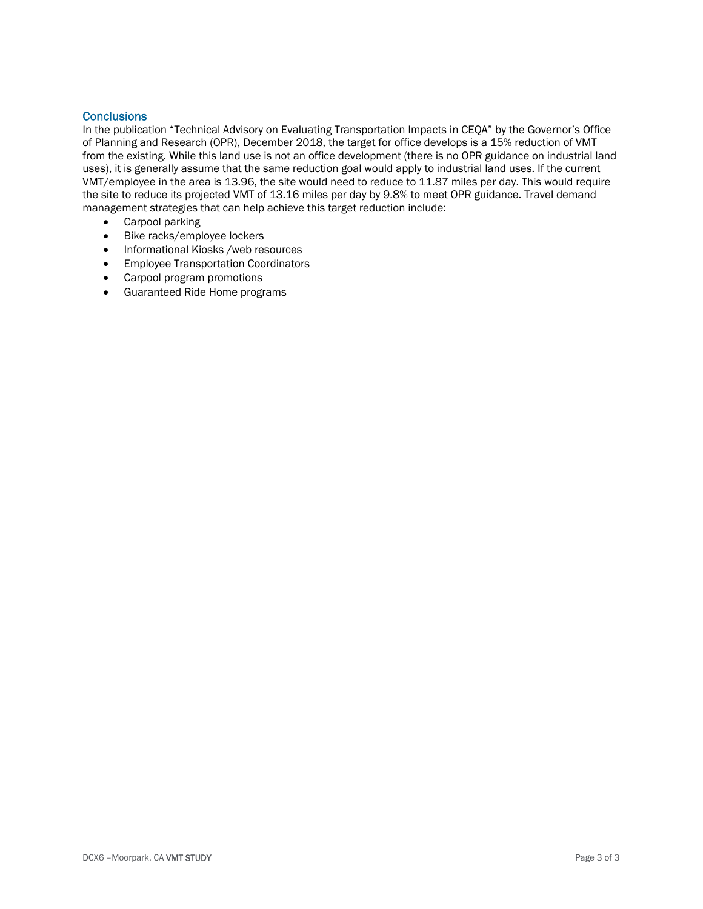## **Conclusions**

In the publication "Technical Advisory on Evaluating Transportation Impacts in CEQA" by the Governor's Office of Planning and Research (OPR), December 2018, the target for office develops is a 15% reduction of VMT from the existing. While this land use is not an office development (there is no OPR guidance on industrial land uses), it is generally assume that the same reduction goal would apply to industrial land uses. If the current VMT/employee in the area is 13.96, the site would need to reduce to 11.87 miles per day. This would require the site to reduce its projected VMT of 13.16 miles per day by 9.8% to meet OPR guidance. Travel demand management strategies that can help achieve this target reduction include:

- Carpool parking
- Bike racks/employee lockers
- Informational Kiosks /web resources
- **•** Employee Transportation Coordinators
- Carpool program promotions
- Guaranteed Ride Home programs